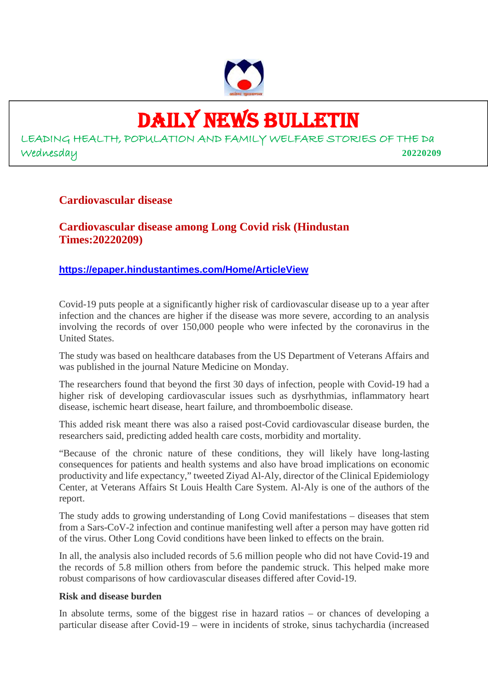

### DAILY NEWS BULLETIN

LEADING HEALTH, POPULATION AND FAMILY WELFARE STORIES OF THE Da Wednesday **20220209**

#### **Cardiovascular disease**

**Cardiovascular disease among Long Covid risk (Hindustan Times:20220209)**

#### **https://epaper.hindustantimes.com/Home/ArticleView**

Covid-19 puts people at a significantly higher risk of cardiovascular disease up to a year after infection and the chances are higher if the disease was more severe, according to an analysis involving the records of over 150,000 people who were infected by the coronavirus in the United States.

The study was based on healthcare databases from the US Department of Veterans Affairs and was published in the journal Nature Medicine on Monday.

The researchers found that beyond the first 30 days of infection, people with Covid-19 had a higher risk of developing cardiovascular issues such as dysrhythmias, inflammatory heart disease, ischemic heart disease, heart failure, and thromboembolic disease.

This added risk meant there was also a raised post-Covid cardiovascular disease burden, the researchers said, predicting added health care costs, morbidity and mortality.

"Because of the chronic nature of these conditions, they will likely have long-lasting consequences for patients and health systems and also have broad implications on economic productivity and life expectancy," tweeted Ziyad Al-Aly, director of the Clinical Epidemiology Center, at Veterans Affairs St Louis Health Care System. Al-Aly is one of the authors of the report.

The study adds to growing understanding of Long Covid manifestations – diseases that stem from a Sars-CoV-2 infection and continue manifesting well after a person may have gotten rid of the virus. Other Long Covid conditions have been linked to effects on the brain.

In all, the analysis also included records of 5.6 million people who did not have Covid-19 and the records of 5.8 million others from before the pandemic struck. This helped make more robust comparisons of how cardiovascular diseases differed after Covid-19.

#### **Risk and disease burden**

In absolute terms, some of the biggest rise in hazard ratios – or chances of developing a particular disease after Covid-19 – were in incidents of stroke, sinus tachychardia (increased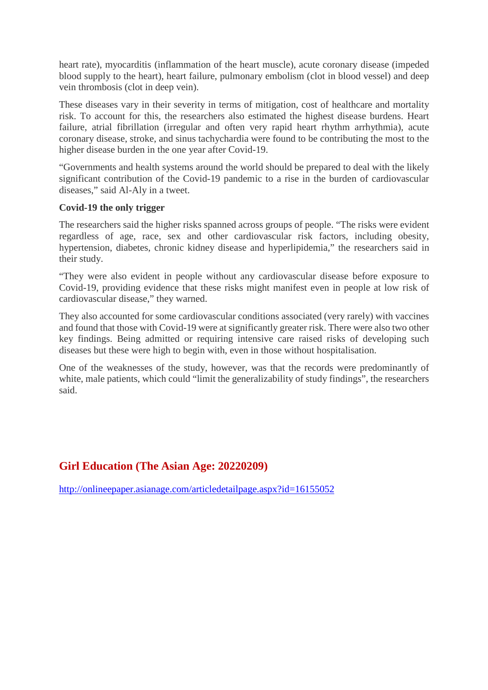heart rate), myocarditis (inflammation of the heart muscle), acute coronary disease (impeded blood supply to the heart), heart failure, pulmonary embolism (clot in blood vessel) and deep vein thrombosis (clot in deep vein).

These diseases vary in their severity in terms of mitigation, cost of healthcare and mortality risk. To account for this, the researchers also estimated the highest disease burdens. Heart failure, atrial fibrillation (irregular and often very rapid heart rhythm arrhythmia), acute coronary disease, stroke, and sinus tachychardia were found to be contributing the most to the higher disease burden in the one year after Covid-19.

"Governments and health systems around the world should be prepared to deal with the likely significant contribution of the Covid-19 pandemic to a rise in the burden of cardiovascular diseases," said Al-Aly in a tweet.

#### **Covid-19 the only trigger**

The researchers said the higher risks spanned across groups of people. "The risks were evident regardless of age, race, sex and other cardiovascular risk factors, including obesity, hypertension, diabetes, chronic kidney disease and hyperlipidemia," the researchers said in their study.

"They were also evident in people without any cardiovascular disease before exposure to Covid-19, providing evidence that these risks might manifest even in people at low risk of cardiovascular disease," they warned.

They also accounted for some cardiovascular conditions associated (very rarely) with vaccines and found that those with Covid-19 were at significantly greater risk. There were also two other key findings. Being admitted or requiring intensive care raised risks of developing such diseases but these were high to begin with, even in those without hospitalisation.

One of the weaknesses of the study, however, was that the records were predominantly of white, male patients, which could "limit the generalizability of study findings", the researchers said.

#### **Girl Education (The Asian Age: 20220209)**

http://onlineepaper.asianage.com/articledetailpage.aspx?id=16155052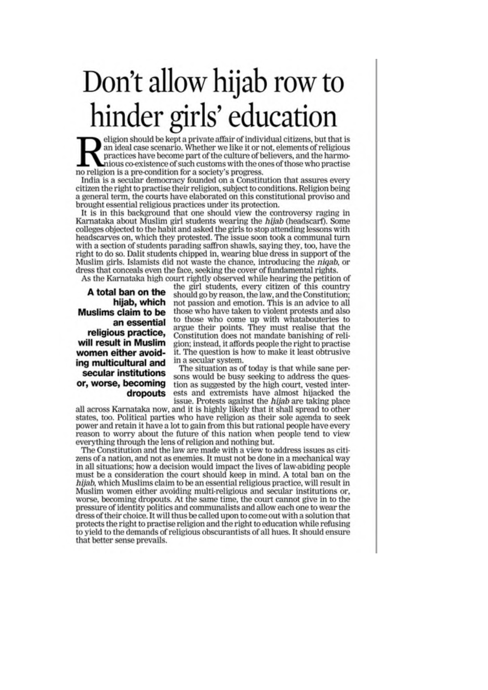# Don't allow hijab row to hinder girls' education

eligion should be kept a private affair of individual citizens, but that is an ideal case scenario. Whether we like it or not, elements of religious practices have become part of the culture of believers, and the harmonious co-existence of such customs with the ones of those who practise no religion is a pre-condition for a society's progress.

India is a secular democracy founded on a Constitution that assures every citizen the right to practise their religion, subject to conditions. Religion being a general term, the courts have elaborated on this constitutional proviso and brought essential religious practices under its protection.

It is in this background that one should view the controversy raging in Karnataka about Muslim girl students wearing the hijab (headscarf). Some colleges objected to the habit and asked the girls to stop attending lessons with headscarves on, which they protested. The issue soon took a communal turn with a section of students parading saffron shawls, saying they, too, have the right to do so. Dalit students chipped in, wearing blue dress in support of the Muslim girls. Islamists did not waste the chance, introducing the *nigab*, or dress that conceals even the face, seeking the cover of fundamental rights.

As the Karnataka high court rightly observed while hearing the petition of

A total ban on the hijab, which **Muslims claim to be** an essential religious practice, will result in Muslim women either avoiding multicultural and secular institutions or, worse, becoming dropouts

the girl students, every citizen of this country should go by reason, the law, and the Constitution; not passion and emotion. This is an advice to all those who have taken to violent protests and also to those who come up with whatabouteries to argue their points. They must realise that the Constitution does not mandate banishing of religion; instead, it affords people the right to practise it. The question is how to make it least obtrusive in a secular system.

The situation as of today is that while sane persons would be busy seeking to address the question as suggested by the high court, vested interests and extremists have almost hijacked the issue. Protests against the *hijab* are taking place

all across Karnataka now, and it is highly likely that it shall spread to other states, too. Political parties who have religion as their sole agenda to seek power and retain it have a lot to gain from this but rational people have every reason to worry about the future of this nation when people tend to view everything through the lens of religion and nothing but.

The Constitution and the law are made with a view to address issues as citizens of a nation, and not as enemies. It must not be done in a mechanical way in all situations; how a decision would impact the lives of law-abiding people must be a consideration the court should keep in mind. A total ban on the hijab, which Muslims claim to be an essential religious practice, will result in Muslim women either avoiding multi-religious and secular institutions or, worse, becoming dropouts. At the same time, the court cannot give in to the pressure of identity politics and communalists and allow each one to wear the dress of their choice. It will thus be called upon to come out with a solution that protects the right to practise religion and the right to education while refusing to yield to the demands of religious obscurantists of all hues. It should ensure that better sense prevails.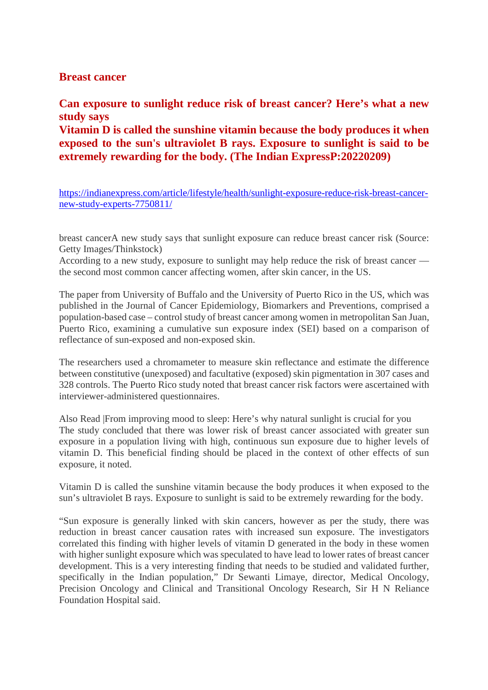#### **Breast cancer**

**Can exposure to sunlight reduce risk of breast cancer? Here's what a new study says**

**Vitamin D is called the sunshine vitamin because the body produces it when exposed to the sun's ultraviolet B rays. Exposure to sunlight is said to be extremely rewarding for the body. (The Indian ExpressP:20220209)**

https://indianexpress.com/article/lifestyle/health/sunlight-exposure-reduce-risk-breast-cancernew-study-experts-7750811/

breast cancerA new study says that sunlight exposure can reduce breast cancer risk (Source: Getty Images/Thinkstock)

According to a new study, exposure to sunlight may help reduce the risk of breast cancer the second most common cancer affecting women, after skin cancer, in the US.

The paper from University of Buffalo and the University of Puerto Rico in the US, which was published in the Journal of Cancer Epidemiology, Biomarkers and Preventions, comprised a population-based case – control study of breast cancer among women in metropolitan San Juan, Puerto Rico, examining a cumulative sun exposure index (SEI) based on a comparison of reflectance of sun-exposed and non-exposed skin.

The researchers used a chromameter to measure skin reflectance and estimate the difference between constitutive (unexposed) and facultative (exposed) skin pigmentation in 307 cases and 328 controls. The Puerto Rico study noted that breast cancer risk factors were ascertained with interviewer-administered questionnaires.

Also Read |From improving mood to sleep: Here's why natural sunlight is crucial for you The study concluded that there was lower risk of breast cancer associated with greater sun exposure in a population living with high, continuous sun exposure due to higher levels of vitamin D. This beneficial finding should be placed in the context of other effects of sun exposure, it noted.

Vitamin D is called the sunshine vitamin because the body produces it when exposed to the sun's ultraviolet B rays. Exposure to sunlight is said to be extremely rewarding for the body.

"Sun exposure is generally linked with skin cancers, however as per the study, there was reduction in breast cancer causation rates with increased sun exposure. The investigators correlated this finding with higher levels of vitamin D generated in the body in these women with higher sunlight exposure which was speculated to have lead to lower rates of breast cancer development. This is a very interesting finding that needs to be studied and validated further, specifically in the Indian population," Dr Sewanti Limaye, director, Medical Oncology, Precision Oncology and Clinical and Transitional Oncology Research, Sir H N Reliance Foundation Hospital said.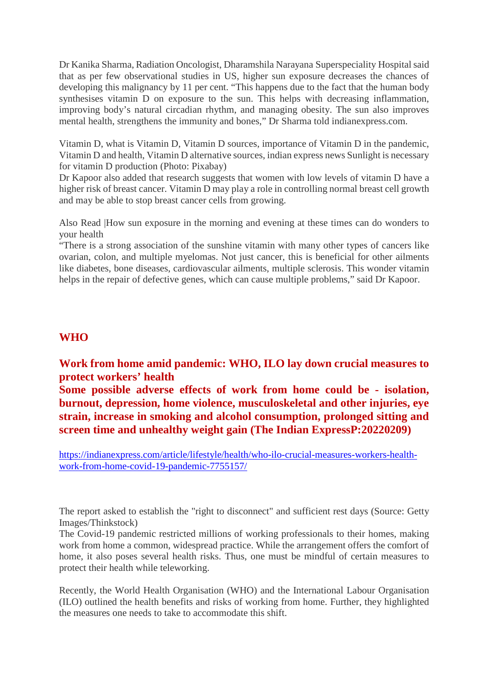Dr Kanika Sharma, Radiation Oncologist, Dharamshila Narayana Superspeciality Hospital said that as per few observational studies in US, higher sun exposure decreases the chances of developing this malignancy by 11 per cent. "This happens due to the fact that the human body synthesises vitamin D on exposure to the sun. This helps with decreasing inflammation, improving body's natural circadian rhythm, and managing obesity. The sun also improves mental health, strengthens the immunity and bones," Dr Sharma told indianexpress.com.

Vitamin D, what is Vitamin D, Vitamin D sources, importance of Vitamin D in the pandemic, Vitamin D and health, Vitamin D alternative sources, indian express news Sunlight is necessary for vitamin D production (Photo: Pixabay)

Dr Kapoor also added that research suggests that women with low levels of vitamin D have a higher risk of breast cancer. Vitamin D may play a role in controlling normal breast cell growth and may be able to stop breast cancer cells from growing.

Also Read |How sun exposure in the morning and evening at these times can do wonders to your health

"There is a strong association of the sunshine vitamin with many other types of cancers like ovarian, colon, and multiple myelomas. Not just cancer, this is beneficial for other ailments like diabetes, bone diseases, cardiovascular ailments, multiple sclerosis. This wonder vitamin helps in the repair of defective genes, which can cause multiple problems," said Dr Kapoor.

#### **WHO**

#### **Work from home amid pandemic: WHO, ILO lay down crucial measures to protect workers' health**

**Some possible adverse effects of work from home could be - isolation, burnout, depression, home violence, musculoskeletal and other injuries, eye strain, increase in smoking and alcohol consumption, prolonged sitting and screen time and unhealthy weight gain (The Indian ExpressP:20220209)**

https://indianexpress.com/article/lifestyle/health/who-ilo-crucial-measures-workers-healthwork-from-home-covid-19-pandemic-7755157/

The report asked to establish the "right to disconnect" and sufficient rest days (Source: Getty Images/Thinkstock)

The Covid-19 pandemic restricted millions of working professionals to their homes, making work from home a common, widespread practice. While the arrangement offers the comfort of home, it also poses several health risks. Thus, one must be mindful of certain measures to protect their health while teleworking.

Recently, the World Health Organisation (WHO) and the International Labour Organisation (ILO) outlined the health benefits and risks of working from home. Further, they highlighted the measures one needs to take to accommodate this shift.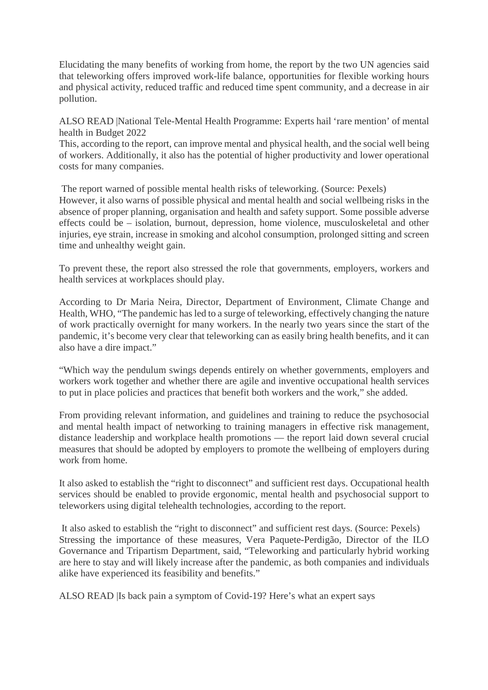Elucidating the many benefits of working from home, the report by the two UN agencies said that teleworking offers improved work-life balance, opportunities for flexible working hours and physical activity, reduced traffic and reduced time spent community, and a decrease in air pollution.

ALSO READ |National Tele-Mental Health Programme: Experts hail 'rare mention' of mental health in Budget 2022

This, according to the report, can improve mental and physical health, and the social well being of workers. Additionally, it also has the potential of higher productivity and lower operational costs for many companies.

The report warned of possible mental health risks of teleworking. (Source: Pexels) However, it also warns of possible physical and mental health and social wellbeing risks in the absence of proper planning, organisation and health and safety support. Some possible adverse effects could be – isolation, burnout, depression, home violence, musculoskeletal and other injuries, eye strain, increase in smoking and alcohol consumption, prolonged sitting and screen time and unhealthy weight gain.

To prevent these, the report also stressed the role that governments, employers, workers and health services at workplaces should play.

According to Dr Maria Neira, Director, Department of Environment, Climate Change and Health, WHO, "The pandemic has led to a surge of teleworking, effectively changing the nature of work practically overnight for many workers. In the nearly two years since the start of the pandemic, it's become very clear that teleworking can as easily bring health benefits, and it can also have a dire impact."

"Which way the pendulum swings depends entirely on whether governments, employers and workers work together and whether there are agile and inventive occupational health services to put in place policies and practices that benefit both workers and the work," she added.

From providing relevant information, and guidelines and training to reduce the psychosocial and mental health impact of networking to training managers in effective risk management, distance leadership and workplace health promotions — the report laid down several crucial measures that should be adopted by employers to promote the wellbeing of employers during work from home.

It also asked to establish the "right to disconnect" and sufficient rest days. Occupational health services should be enabled to provide ergonomic, mental health and psychosocial support to teleworkers using digital telehealth technologies, according to the report.

It also asked to establish the "right to disconnect" and sufficient rest days. (Source: Pexels) Stressing the importance of these measures, Vera Paquete-Perdigão, Director of the ILO Governance and Tripartism Department, said, "Teleworking and particularly hybrid working are here to stay and will likely increase after the pandemic, as both companies and individuals alike have experienced its feasibility and benefits."

ALSO READ |Is back pain a symptom of Covid-19? Here's what an expert says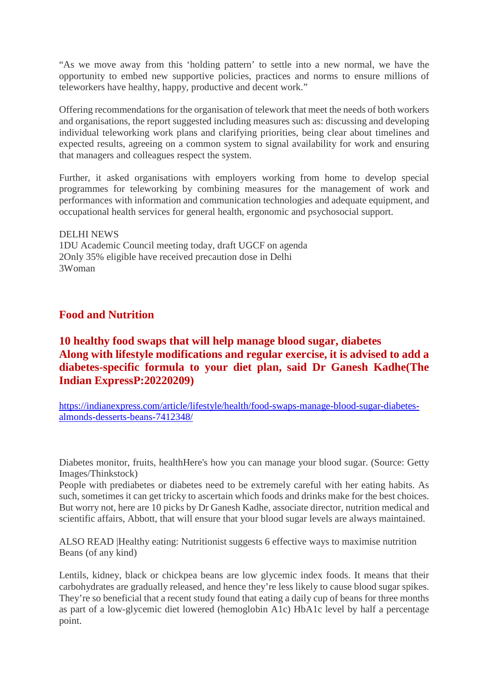"As we move away from this 'holding pattern' to settle into a new normal, we have the opportunity to embed new supportive policies, practices and norms to ensure millions of teleworkers have healthy, happy, productive and decent work."

Offering recommendations for the organisation of telework that meet the needs of both workers and organisations, the report suggested including measures such as: discussing and developing individual teleworking work plans and clarifying priorities, being clear about timelines and expected results, agreeing on a common system to signal availability for work and ensuring that managers and colleagues respect the system.

Further, it asked organisations with employers working from home to develop special programmes for teleworking by combining measures for the management of work and performances with information and communication technologies and adequate equipment, and occupational health services for general health, ergonomic and psychosocial support.

#### DELHI NEWS 1DU Academic Council meeting today, draft UGCF on agenda 2Only 35% eligible have received precaution dose in Delhi 3Woman

#### **Food and Nutrition**

#### **10 healthy food swaps that will help manage blood sugar, diabetes Along with lifestyle modifications and regular exercise, it is advised to add a diabetes-specific formula to your diet plan, said Dr Ganesh Kadhe(The Indian ExpressP:20220209)**

https://indianexpress.com/article/lifestyle/health/food-swaps-manage-blood-sugar-diabetesalmonds-desserts-beans-7412348/

Diabetes monitor, fruits, healthHere's how you can manage your blood sugar. (Source: Getty Images/Thinkstock)

People with prediabetes or diabetes need to be extremely careful with her eating habits. As such, sometimes it can get tricky to ascertain which foods and drinks make for the best choices. But worry not, here are 10 picks by Dr Ganesh Kadhe, associate director, nutrition medical and scientific affairs, Abbott, that will ensure that your blood sugar levels are always maintained.

ALSO READ |Healthy eating: Nutritionist suggests 6 effective ways to maximise nutrition Beans (of any kind)

Lentils, kidney, black or chickpea beans are low glycemic index foods. It means that their carbohydrates are gradually released, and hence they're less likely to cause blood sugar spikes. They're so beneficial that a recent study found that eating a daily cup of beans for three months as part of a low-glycemic diet lowered (hemoglobin A1c) HbA1c level by half a percentage point.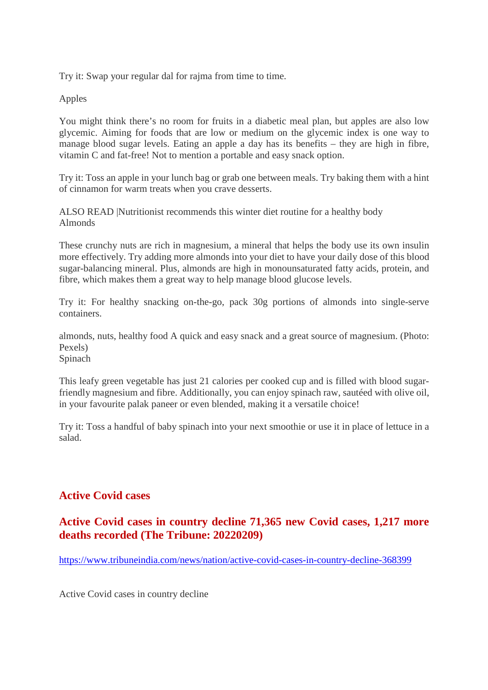Try it: Swap your regular dal for rajma from time to time.

Apples

You might think there's no room for fruits in a diabetic meal plan, but apples are also low glycemic. Aiming for foods that are low or medium on the glycemic index is one way to manage blood sugar levels. Eating an apple a day has its benefits – they are high in fibre, vitamin C and fat-free! Not to mention a portable and easy snack option.

Try it: Toss an apple in your lunch bag or grab one between meals. Try baking them with a hint of cinnamon for warm treats when you crave desserts.

ALSO READ |Nutritionist recommends this winter diet routine for a healthy body Almonds

These crunchy nuts are rich in magnesium, a mineral that helps the body use its own insulin more effectively. Try adding more almonds into your diet to have your daily dose of this blood sugar-balancing mineral. Plus, almonds are high in monounsaturated fatty acids, protein, and fibre, which makes them a great way to help manage blood glucose levels.

Try it: For healthy snacking on-the-go, pack 30g portions of almonds into single-serve containers.

almonds, nuts, healthy food A quick and easy snack and a great source of magnesium. (Photo: Pexels) Spinach

This leafy green vegetable has just 21 calories per cooked cup and is filled with blood sugarfriendly magnesium and fibre. Additionally, you can enjoy spinach raw, sautéed with olive oil, in your favourite palak paneer or even blended, making it a versatile choice!

Try it: Toss a handful of baby spinach into your next smoothie or use it in place of lettuce in a salad.

#### **Active Covid cases**

#### **Active Covid cases in country decline 71,365 new Covid cases, 1,217 more deaths recorded (The Tribune: 20220209)**

https://www.tribuneindia.com/news/nation/active-covid-cases-in-country-decline-368399

Active Covid cases in country decline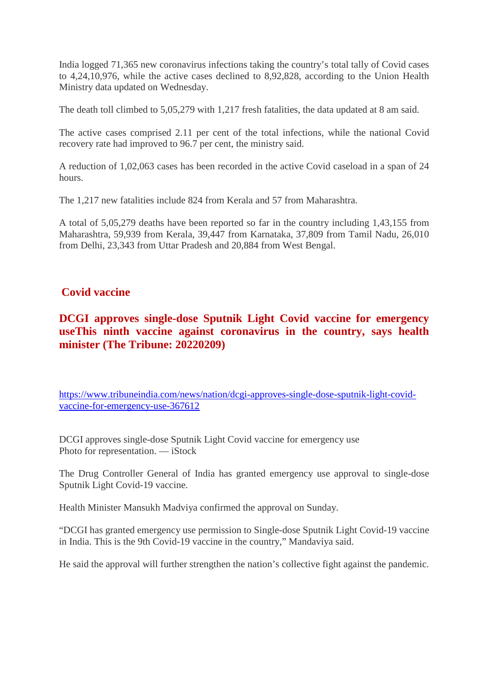India logged 71,365 new coronavirus infections taking the country's total tally of Covid cases to 4,24,10,976, while the active cases declined to 8,92,828, according to the Union Health Ministry data updated on Wednesday.

The death toll climbed to 5,05,279 with 1,217 fresh fatalities, the data updated at 8 am said.

The active cases comprised 2.11 per cent of the total infections, while the national Covid recovery rate had improved to 96.7 per cent, the ministry said.

A reduction of 1,02,063 cases has been recorded in the active Covid caseload in a span of 24 hours.

The 1,217 new fatalities include 824 from Kerala and 57 from Maharashtra.

A total of 5,05,279 deaths have been reported so far in the country including 1,43,155 from Maharashtra, 59,939 from Kerala, 39,447 from Karnataka, 37,809 from Tamil Nadu, 26,010 from Delhi, 23,343 from Uttar Pradesh and 20,884 from West Bengal.

#### **Covid vaccine**

#### **DCGI approves single-dose Sputnik Light Covid vaccine for emergency useThis ninth vaccine against coronavirus in the country, says health minister (The Tribune: 20220209)**

https://www.tribuneindia.com/news/nation/dcgi-approves-single-dose-sputnik-light-covidvaccine-for-emergency-use-367612

DCGI approves single-dose Sputnik Light Covid vaccine for emergency use Photo for representation. — iStock

The Drug Controller General of India has granted emergency use approval to single-dose Sputnik Light Covid-19 vaccine.

Health Minister Mansukh Madviya confirmed the approval on Sunday.

"DCGI has granted emergency use permission to Single-dose Sputnik Light Covid-19 vaccine in India. This is the 9th Covid-19 vaccine in the country," Mandaviya said.

He said the approval will further strengthen the nation's collective fight against the pandemic.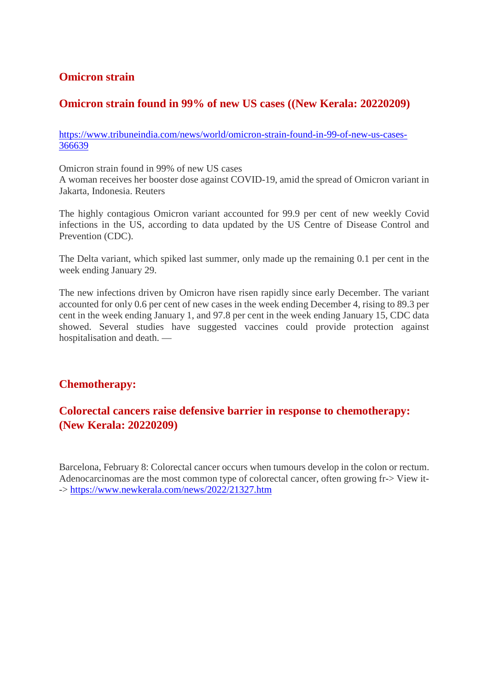#### **Omicron strain**

#### **Omicron strain found in 99% of new US cases ((New Kerala: 20220209)**

https://www.tribuneindia.com/news/world/omicron-strain-found-in-99-of-new-us-cases-366639

Omicron strain found in 99% of new US cases A woman receives her booster dose against COVID-19, amid the spread of Omicron variant in Jakarta, Indonesia. Reuters

The highly contagious Omicron variant accounted for 99.9 per cent of new weekly Covid infections in the US, according to data updated by the US Centre of Disease Control and Prevention (CDC).

The Delta variant, which spiked last summer, only made up the remaining 0.1 per cent in the week ending January 29.

The new infections driven by Omicron have risen rapidly since early December. The variant accounted for only 0.6 per cent of new cases in the week ending December 4, rising to 89.3 per cent in the week ending January 1, and 97.8 per cent in the week ending January 15, CDC data showed. Several studies have suggested vaccines could provide protection against hospitalisation and death. —

#### **Chemotherapy:**

#### **Colorectal cancers raise defensive barrier in response to chemotherapy: (New Kerala: 20220209)**

Barcelona, February 8: Colorectal cancer occurs when tumours develop in the colon or rectum. Adenocarcinomas are the most common type of colorectal cancer, often growing fr-> View it- -> https://www.newkerala.com/news/2022/21327.htm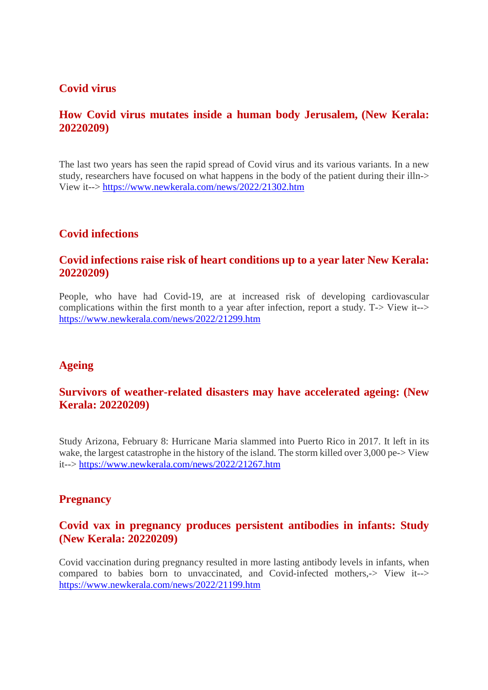#### **Covid virus**

#### **How Covid virus mutates inside a human body Jerusalem, (New Kerala: 20220209)**

The last two years has seen the rapid spread of Covid virus and its various variants. In a new study, researchers have focused on what happens in the body of the patient during their illn-> View it--> https://www.newkerala.com/news/2022/21302.htm

#### **Covid infections**

#### **Covid infections raise risk of heart conditions up to a year later New Kerala: 20220209)**

People, who have had Covid-19, are at increased risk of developing cardiovascular complications within the first month to a year after infection, report a study. T-> View it--> https://www.newkerala.com/news/2022/21299.htm

#### **Ageing**

#### **Survivors of weather-related disasters may have accelerated ageing: (New Kerala: 20220209)**

Study Arizona, February 8: Hurricane Maria slammed into Puerto Rico in 2017. It left in its wake, the largest catastrophe in the history of the island. The storm killed over 3,000 pe-> View it--> https://www.newkerala.com/news/2022/21267.htm

#### **Pregnancy**

#### **Covid vax in pregnancy produces persistent antibodies in infants: Study (New Kerala: 20220209)**

Covid vaccination during pregnancy resulted in more lasting antibody levels in infants, when compared to babies born to unvaccinated, and Covid-infected mothers,-> View it--> https://www.newkerala.com/news/2022/21199.htm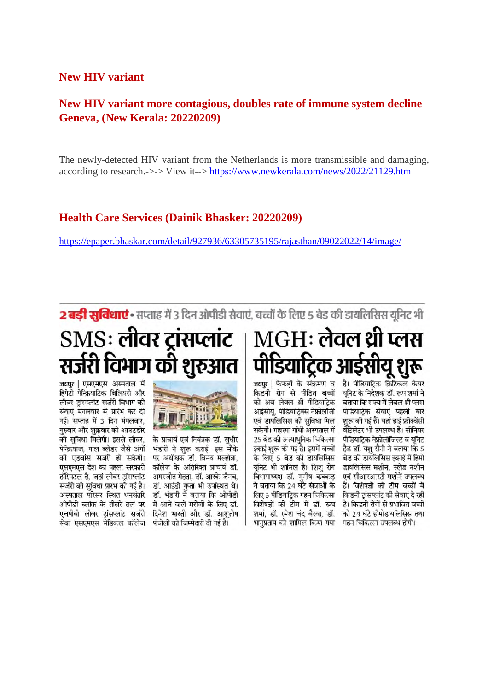#### **New HIV variant**

#### **New HIV variant more contagious, doubles rate of immune system decline Geneva, (New Kerala: 20220209)**

The newly-detected HIV variant from the Netherlands is more transmissible and damaging, according to research.->-> View it--> https://www.newkerala.com/news/2022/21129.htm

#### **Health Care Services (Dainik Bhasker: 20220209)**

https://epaper.bhaskar.com/detail/927936/63305735195/rajasthan/09022022/14/image/

2 बड़ी सुविधाएं • सप्ताह में 3 दिन ओपीडी सेवाएं, बच्चों के लिए 5 बेड की डायलिसिस यूनिट भी

## SMS: लीवर ट्रांसप्लांट | MGH: लेवल थ्री प्लस सर्जरी विभाग की शुरुआत

जवपुर | एसएमएस अस्पताल में हिपेटो पेन्क्रियाटिक बिलियरी और लीवर ट्रांसप्लांट सर्जरी विभाग की सेवाएं मंगलवार से प्रारंभ कर दी गई। सप्ताह में 3 दिन मंगलवार, गुरुवार और शुक्रवार को आउटडोर की सविधा मिलेगी। इससे लीवर. पेन्क्रियाज. गाल ब्लेडर जैसे अंगों की एडवांस सर्जरी हो सकेगी। एसएमएस देश का पहला सरकारी हॉस्पिटल है, जहां लीवर टांसप्लांट सर्जरी की सविधा प्रारंभ की गई है। एचपीबी लीवर टांसप्लांट सर्जरी सेवा एसएमएस मेडिकल कॉलेज पंचोली को जिम्मेदारी दी गई है।



के प्राचार्य एवं नियंत्रक डॉ. सधीर भंडारी ने शरू कराई। इस मौके पर अधीक्षक डॉ. विनय मल्होत्रा. कॉलेज के अतिरिक्त प्राचार्य डॉ. अमरजीत मेहता, डॉ. आरके जैनव, डॉ. आईडी गप्ता भी उपस्थित थे। अस्पताल परिसर स्थित धनवंतरि डॉ. भंडारी ने बताया कि ओपीडी ओपीडी ब्लॉक के तीसरे तल पर में आने वाले मरीजों के लिए डॉ. दिनेश भारती और डॉ. आशतोष

# पीडियाट्रिक आईसीयू शुरू

किडनी रोग से पीडित बच्चों यनिट के निदेशक डॉ. रूप शर्मा ने को अब लेवल थी पीडियाट्रिक बताया कि राज्य में लेवल थी प्लस आईसीय, पीडियाटिक्स नेफ्रोलॉजी एवं डायलिसिस की सविधा मिल सकेगी। महात्मा गांधी अस्पताल में 25 बेड की अत्याधनिक चिकित्सा इकाई शरू की गई है। इसमें बच्चों के लिए 5 बेड की डायलिसिस यनिट भी शामिल है। शिश रोग विभागाध्यक्ष डॉ. मनीष कक्कड ने बताया कि 24 घंटे सेवाओं के लिए 3 पीडियाटिक गहन चिकित्सा विशेषज्ञों की टीम में डॉ. रूप शर्मा, डॉ. रमेश चंद बैखा, डॉ. भानुप्रताप को शामिल किया गया गहन चिकित्सा उपलब्ध होगी।

जवपर । फेफडों के संक्रमण व है। पीडियाटिक क्रिटिकल केयर पीडियाटिक सेवाएं पहली बार शरू की गई हैं। यहां हाई फ्रीक्वेंसी वेंटिलेटर भी उपलब्ध है। सीनियर पीडियाटिक नेफ्रोलॉजिस्ट व यनिट हैड डॉ. यश सैनी ने बताया कि 5 बेड की डायलिसिस इकाई में हिमो डायलिसिस मशीन, स्लेड मशीन एवं सीआरआरटी मशीनें उपलब्ध हैं। विशेषज्ञों की टीम बच्चों में किडनी टांसप्लांट की सेवाएं दे रही है। किडनी रोगों से प्रभावित बच्चों को 24 घंटे हीमोडायलिसिस तथा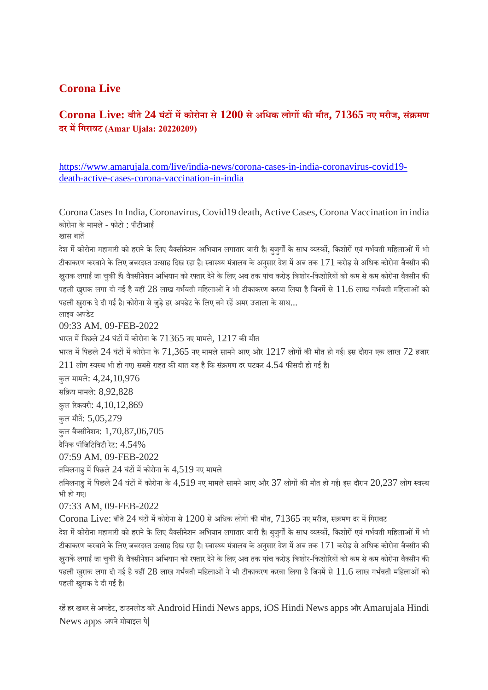#### **Corona Live**

#### **Corona Live: बीते24 घंटमकोरोना से1200 सेअिधक लोगकमौत, 71365 नए मरीज, सं मण दर मिगरावट (Amar Ujala: 20220209)**

https://www.amarujala.com/live/india-news/corona-cases-in-india-coronavirus-covid19 death-active-cases-corona-vaccination-in-india

Corona Cases In India, Coronavirus, Covid19 death, Active Cases, Corona Vaccination in india कोरोना के मामले- फोटो : पीटीआई खास बात

देश में कोरोना महामारी को हराने के लिए वैक्सीनेशन अभियान लगातार जारी है। बुजुर्गों के साथ व्यस्कों, किशोरों एवं गर्भवती महिलाओं में भी टीकाकरण करवाने के लिए जबरदस्त उत्साह दिख रहा है। स्वास्थ्य मंत्रालय के अनुसार देश में अब तक  $171$  करोड़ से अधिक कोरोना वैक्सीन की खुराक लगाई जा चुकी हैं। वैक्सीनेशन अभियान को रफ्तार देने के लिए अब तक पांच करोड़ किशोर-किशोरियों को कम से कम कोरोना वैक्सीन की पहली खुराक लगा दी गई है वहीं 28 लाख गर्भवती महिलाओं ने भी टीकाकरण करवा लिया है जिनमें से  $11.6$  लाख गर्भवती महिलाओं को पहली खराक दे दी गई है। कोरोना से जड़े हर अपडेट के लिए बने रहें अमर उजाला के साथ...

09:33 AM, 09-FEB-2022

लाइव अपडेट

भारत में पिछले 24 घंटों में कोरोना के  $71365$  नए मामले,  $1217$  की मौत भारत में पिछले 24 घंटों में कोरोना के 71,365 नए मामले सामने आए और  $1217$  लोगों की मौत हो गई। इस दौरान एक लाख 72 हजार  $211$  लोग स्वस्थ भी हो गए। सबसे राहत की बात यह है कि संक्रमण दर घटकर  $4.54$  फीसदी हो गई है। कुल मामले: 4,24,10,976 सिय मामले: 8,92,828 कुल रकवरी: 4,10,12,869 कुल मौत: 5,05,279 कुल वैसीनेशन: 1,70,87,06,705 दैिनक पॉिजिटिवटी रेट: 4.54% 07:59 AM, 09-FEB-2022 तमिलनाडु में पिछले 24 घंटों में कोरोना के 4,519 नए मामले तमिलनाडु में पिछले 24 घंटों में कोरोना के 4,519 नए मामले सामने आए और 37 लोगों की मौत हो गई। इस दौरान 20,237 लोग स्वस्थ भी हो गए। 07:33 AM, 09-FEB-2022  $C$ orona Live: बीते 24 घंटों में कोरोना से  $1200$  से अधिक लोगों की मौत, 71365 नए मरीज, संक्रमण दर में गिरावट देश में कोरोना महामारी को हराने के लिए वैक्सीनेशन अभियान लगातार जारी है। बुजुर्गों के साथ व्यस्कों, किशोरों एवं गर्भवती महिलाओं में भी टीकाकरण करवाने के लिए जबरदस्त उत्साह दिख रहा है। स्वास्थ्य मंत्रालय के अनुसार देश में अब तक  $171$  करोड़ से अधिक कोरोना वैक्सीन की खुराकें लगाई जा चुकी हैं। वैक्सीनेशन अभियान को रफ्तार देने के लिए अब तक पांच करोड़ किशोर-किशोरियों को कम से कम कोरोना वैक्सीन की

पहली खुराक लगा दी गई है वहीं 28 लाख गर्भवती महिलाओं ने भी टीकाकरण करवा लिया है जिनमें से  $11.6$  लाख गर्भवती महिलाओं को पहली खुराक दे दी गई है।

रहें हर खबर से अपडेट, डाउनलोड करें Android Hindi News apps, iOS Hindi News apps और Amarujala Hindi News apps अपने मोबाइल पे|